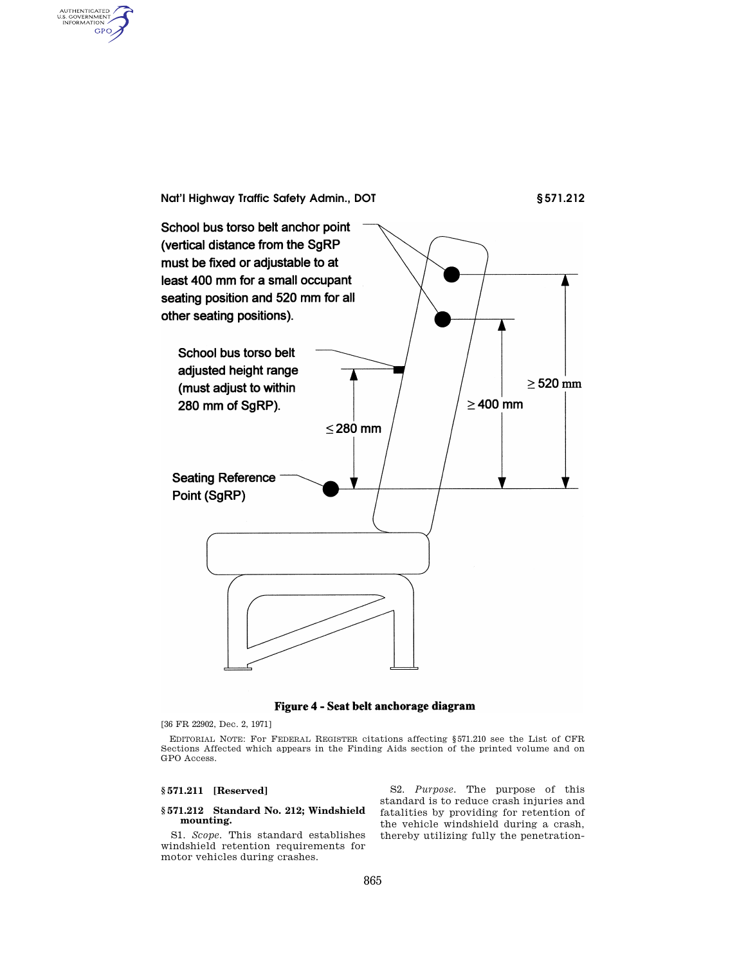**Nat'l Highway Traffic Safety Admin., DOT § 571.212**  School bus torso belt anchor point (vertical distance from the SgRP must be fixed or adjustable to at least 400 mm for a small occupant seating position and 520 mm for all other seating positions). School bus torso belt adjusted height range  $\geq$  520 mm (must adjust to within  $\geq$  400 mm 280 mm of SgRP).  $≤ 280$  mm **Seating Reference** Point (SgRP)

Figure 4 - Seat belt anchorage diagram

[36 FR 22902, Dec. 2, 1971]

AUTHENTICATED<br>U.S. GOVERNMENT<br>INFORMATION GPO

> EDITORIAL NOTE: For FEDERAL REGISTER citations affecting §571.210 see the List of CFR Sections Affected which appears in the Finding Aids section of the printed volume and on GPO Access.

## **§ 571.211 [Reserved]**

## **§ 571.212 Standard No. 212; Windshield mounting.**

S1. *Scope.* This standard establishes windshield retention requirements for motor vehicles during crashes.

S2. *Purpose.* The purpose of this standard is to reduce crash injuries and fatalities by providing for retention of the vehicle windshield during a crash, thereby utilizing fully the penetration